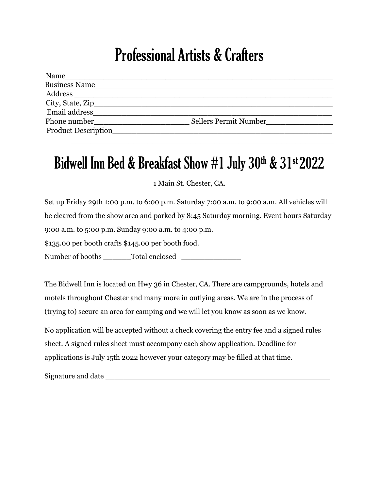## Professional Artists & Crafters

| Name                        |                       |
|-----------------------------|-----------------------|
| Business Name______________ |                       |
|                             |                       |
|                             |                       |
| Email address               |                       |
| Phone number                | Sellers Permit Number |
| <b>Product Description</b>  |                       |
|                             |                       |

## Bidwell Inn Bed & Breakfast Show #1 July 30th & 31st 2022

1 Main St. Chester, CA.

Set up Friday 29th 1:00 p.m. to 6:00 p.m. Saturday 7:00 a.m. to 9:00 a.m. All vehicles will be cleared from the show area and parked by 8:45 Saturday morning. Event hours Saturday 9:00 a.m. to 5:00 p.m. Sunday 9:00 a.m. to 4:00 p.m.

\$135.00 per booth crafts \$145.00 per booth food.

Number of booths \_\_\_\_\_\_Total enclosed \_\_\_\_\_\_\_\_\_\_\_\_\_

The Bidwell Inn is located on Hwy 36 in Chester, CA. There are campgrounds, hotels and motels throughout Chester and many more in outlying areas. We are in the process of (trying to) secure an area for camping and we will let you know as soon as we know.

No application will be accepted without a check covering the entry fee and a signed rules sheet. A signed rules sheet must accompany each show application. Deadline for applications is July 15th 2022 however your category may be filled at that time.

Signature and date